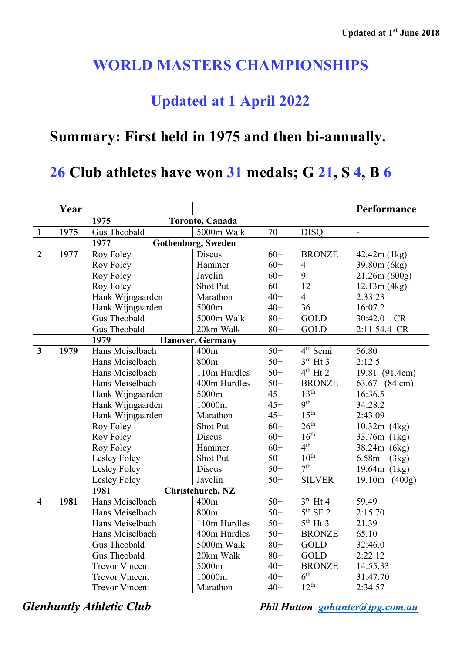## **WORLD MASTERS CHAMPIONSHIPS**

## **Updated at 1 April 2022**

## **Summary: First held in 1975 and then bi-annually.**

## **26 Club athletes have won 31 medals; G 21, S 4, B 6**

|                         | Year |                                   |                  |       |                      | Performance    |
|-------------------------|------|-----------------------------------|------------------|-------|----------------------|----------------|
|                         |      | 1975<br>Toronto, Canada           |                  |       |                      |                |
| $\mathbf{1}$            | 1975 | Gus Theobald                      | 5000m Walk       | $70+$ | <b>DISQ</b>          |                |
|                         |      | 1977<br><b>Gothenborg, Sweden</b> |                  |       |                      |                |
| $\overline{2}$          | 1977 | Roy Foley                         | Discus           | $60+$ | <b>BRONZE</b>        | 42.42m (1kg)   |
|                         |      | Roy Foley                         | Hammer           | $60+$ | $\overline{4}$       | 39.80m (6kg)   |
|                         |      | Roy Foley                         | Javelin          | $60+$ | 9                    | 21.26m(600g)   |
|                         |      | Roy Foley                         | <b>Shot Put</b>  | $60+$ | 12                   | 12.13m(4kg)    |
|                         |      | Hank Wijngaarden                  | Marathon         | $40+$ | $\overline{4}$       | 2:33.23        |
|                         |      | Hank Wijngaarden                  | 5000m            | $40+$ | 36                   | 16:07.2        |
|                         |      | Gus Theobald                      | 5000m Walk       | $80+$ | <b>GOLD</b>          | 30:42.0<br>CR  |
|                         |      | Gus Theobald                      | 20km Walk        | $80+$ | <b>GOLD</b>          | 2:11.54.4 CR   |
|                         |      | 1979<br><b>Hanover, Germany</b>   |                  |       |                      |                |
| $\overline{\mathbf{3}}$ | 1979 | Hans Meiselbach                   | 400m             | $50+$ | 4 <sup>th</sup> Semi | 56.80          |
|                         |      | Hans Meiselbach                   | 800 <sub>m</sub> | $50+$ | $3rd$ Ht 3           | 2:12.5         |
|                         |      | Hans Meiselbach                   | 110m Hurdles     | $50+$ | $4th$ Ht 2           | 19.81 (91.4cm) |
|                         |      | Hans Meiselbach                   | 400m Hurdles     | $50+$ | <b>BRONZE</b>        | 63.67 (84 cm)  |
|                         |      | Hank Wijngaarden                  | 5000m            | $45+$ | 13 <sup>th</sup>     | 16:36.5        |
|                         |      | Hank Wijngaarden                  | 10000m           | $45+$ | 9 <sup>th</sup>      | 34:28.2        |
|                         |      | Hank Wijngaarden                  | Marathon         | $45+$ | 15 <sup>th</sup>     | 2:43.09        |
|                         |      | Roy Foley                         | <b>Shot Put</b>  | $60+$ | 26 <sup>th</sup>     | $10.32m$ (4kg) |
|                         |      | Roy Foley                         | Discus           | $60+$ | 16 <sup>th</sup>     | 33.76m (1kg)   |
|                         |      | Roy Foley                         | Hammer           | $60+$ | 4 <sup>th</sup>      | 38.24m (6kg)   |
|                         |      | Lesley Foley                      | <b>Shot Put</b>  | $50+$ | $10^{\text{th}}$     | 6.58m (3kg)    |
|                         |      | Lesley Foley                      | <b>Discus</b>    | $50+$ | 7 <sup>th</sup>      | 19.64m (1kg)   |
|                         |      | Lesley Foley                      | Javelin          | $50+$ | <b>SILVER</b>        | 19.10m (400g)  |
|                         |      | 1981                              | Christchurch, NZ |       |                      |                |
| $\overline{\mathbf{4}}$ | 1981 | Hans Meiselbach                   | 400m             | $50+$ | $3rd$ Ht 4           | 59.49          |
|                         |      | Hans Meiselbach                   | 800m             | $50+$ | $5th$ SF 2           | 2:15.70        |
|                         |      | Hans Meiselbach                   | 110m Hurdles     | $50+$ | $5th$ Ht 3           | 21.39          |
|                         |      | Hans Meiselbach                   | 400m Hurdles     | $50+$ | <b>BRONZE</b>        | 65.10          |
|                         |      | Gus Theobald                      | 5000m Walk       | $80+$ | <b>GOLD</b>          | 32:46.0        |
|                         |      | Gus Theobald                      | 20km Walk        | $80+$ | <b>GOLD</b>          | 2:22.12        |
|                         |      | <b>Trevor Vincent</b>             | 5000m            | $40+$ | <b>BRONZE</b>        | 14:55.33       |
|                         |      | <b>Trevor Vincent</b>             | 10000m           | $40+$ | 6 <sup>th</sup>      | 31:47.70       |
|                         |      | <b>Trevor Vincent</b>             | Marathon         | $40+$ | $12^{th}$            | 2:34.57        |

*Glenhuntly Athletic Club Phil Hutton [gohunter@tpg.com.au](mailto:gohunter@tpg.com.au)*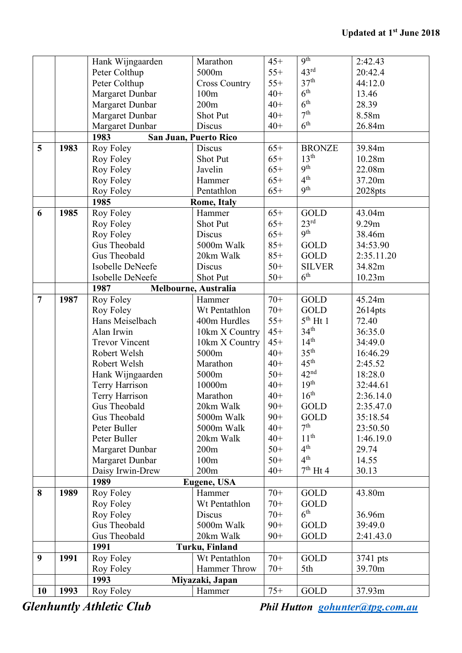|                |      | Hank Wijngaarden      | Marathon              | $45+$ | <b>9th</b>                       | 2:42.43    |
|----------------|------|-----------------------|-----------------------|-------|----------------------------------|------------|
|                |      | Peter Colthup         | 5000m                 | $55+$ | 43 <sup>rd</sup>                 | 20:42.4    |
|                |      | Peter Colthup         | <b>Cross Country</b>  | $55+$ | 37 <sup>th</sup>                 | 44:12.0    |
|                |      | Margaret Dunbar       | 100m                  | $40+$ | 6 <sup>th</sup>                  | 13.46      |
|                |      | Margaret Dunbar       | 200m                  | $40+$ | 6 <sup>th</sup>                  | 28.39      |
|                |      | Margaret Dunbar       | Shot Put              | $40+$ | 7 <sup>th</sup>                  | 8.58m      |
|                |      | Margaret Dunbar       | Discus                | $40+$ | 6 <sup>th</sup>                  | 26.84m     |
|                |      | 1983                  | San Juan, Puerto Rico |       |                                  |            |
| 5              | 1983 | Roy Foley             | Discus                | $65+$ | <b>BRONZE</b>                    | 39.84m     |
|                |      | Roy Foley             | Shot Put              | $65+$ | 13 <sup>th</sup>                 | 10.28m     |
|                |      | Roy Foley             | Javelin               | $65+$ | <b>9th</b>                       | 22.08m     |
|                |      | Roy Foley             | Hammer                | $65+$ | 4 <sup>th</sup>                  | 37.20m     |
|                |      | Roy Foley             | Pentathlon            | $65+$ | 9 <sup>th</sup>                  | 2028pts    |
|                |      | 1985                  | <b>Rome, Italy</b>    |       |                                  |            |
| 6              | 1985 | Roy Foley             | Hammer                | $65+$ | <b>GOLD</b>                      | 43.04m     |
|                |      | Roy Foley             | Shot Put              | $65+$ | 23 <sup>rd</sup>                 | 9.29m      |
|                |      | Roy Foley             | Discus                | $65+$ | 9 <sup>th</sup>                  | 38.46m     |
|                |      | Gus Theobald          | 5000m Walk            | $85+$ | GOLD                             | 34:53.90   |
|                |      | Gus Theobald          |                       |       |                                  |            |
|                |      |                       | 20km Walk             | $85+$ | GOLD                             | 2:35.11.20 |
|                |      | Isobelle DeNeefe      | Discus                | $50+$ | <b>SILVER</b><br>6 <sup>th</sup> | 34.82m     |
|                |      | Isobelle DeNeefe      | Shot Put              | $50+$ |                                  | 10.23m     |
|                |      | 1987                  | Melbourne, Australia  |       |                                  |            |
| $\overline{7}$ | 1987 | Roy Foley             | Hammer                | $70+$ | GOLD                             | 45.24m     |
|                |      | Roy Foley             | Wt Pentathlon         | $70+$ | <b>GOLD</b>                      | $2614$ pts |
|                |      | Hans Meiselbach       | 400m Hurdles          | $55+$ | $5th$ Ht 1                       | 72.40      |
|                |      | Alan Irwin            | 10km X Country        | $45+$ | 34 <sup>th</sup>                 | 36:35.0    |
|                |      | <b>Trevor Vincent</b> | 10km X Country        | $45+$ | 14 <sup>th</sup>                 | 34:49.0    |
|                |      | Robert Welsh          | 5000m                 | $40+$ | 35 <sup>th</sup>                 | 16:46.29   |
|                |      | Robert Welsh          | Marathon              | $40+$ | 45 <sup>th</sup>                 | 2:45.52    |
|                |      | Hank Wijngaarden      | 5000m                 | $50+$ | 42 <sup>nd</sup>                 | 18:28.0    |
|                |      | Terry Harrison        | 10000m                | $40+$ | 19 <sup>th</sup>                 | 32:44.61   |
|                |      | Terry Harrison        | Marathon              | $40+$ | 16 <sup>th</sup>                 | 2:36.14.0  |
|                |      | Gus Theobald          | 20km Walk             | $90+$ | GOLD                             | 2:35.47.0  |
|                |      | Gus Theobald          | 5000m Walk            | $90+$ | GOLD                             | 35:18.54   |
|                |      | Peter Buller          | 5000m Walk            | $40+$ | 7 <sup>th</sup>                  | 23:50.50   |
|                |      | Peter Buller          | 20km Walk             | $40+$ | 11 <sup>th</sup>                 | 1:46.19.0  |
|                |      | Margaret Dunbar       | 200m                  | $50+$ | 4 <sup>th</sup>                  | 29.74      |
|                |      | Margaret Dunbar       | 100m                  | $50+$ | 4 <sup>th</sup>                  | 14.55      |
|                |      | Daisy Irwin-Drew      | 200m                  | $40+$ | $7th$ Ht 4                       | 30.13      |
|                |      | 1989                  | <b>Eugene, USA</b>    |       |                                  |            |
| 8              | 1989 | Roy Foley             | Hammer                | $70+$ | <b>GOLD</b>                      | 43.80m     |
|                |      | Roy Foley             | Wt Pentathlon         | $70+$ | <b>GOLD</b>                      |            |
|                |      | Roy Foley             | Discus                | $70+$ | 6 <sup>th</sup>                  | 36.96m     |
|                |      | Gus Theobald          | 5000m Walk            | $90+$ | <b>GOLD</b>                      | 39:49.0    |
|                |      | Gus Theobald          | 20km Walk             | $90+$ | <b>GOLD</b>                      | 2:41.43.0  |
|                |      | 1991                  | Turku, Finland        |       |                                  |            |
| 9              | 1991 | Roy Foley             | Wt Pentathlon         | $70+$ | <b>GOLD</b>                      | 3741 pts   |
|                |      | Roy Foley             | <b>Hammer Throw</b>   | $70+$ | 5th                              | 39.70m     |
|                |      | 1993                  | Miyazaki, Japan       |       |                                  |            |
| <b>10</b>      | 1993 | Roy Foley             | Hammer                | $75+$ | GOLD                             | 37.93m     |

*Glenhuntly Athletic Club Phil Hutton [gohunter@tpg.com.au](mailto:gohunter@tpg.com.au)*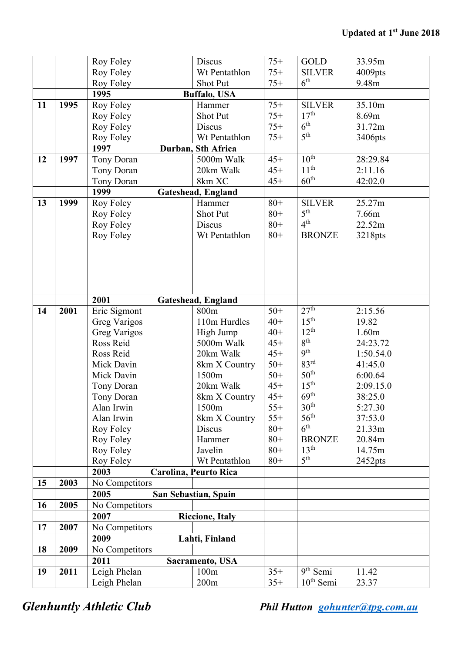|           |      | Roy Foley               | <b>Discus</b>                | $75+$  | <b>GOLD</b>      | 33.95m    |
|-----------|------|-------------------------|------------------------------|--------|------------------|-----------|
|           |      | Roy Foley               | Wt Pentathlon                | $75+$  | <b>SILVER</b>    | 4009pts   |
|           |      | Roy Foley               | Shot Put                     | $75+$  | 6 <sup>th</sup>  | 9.48m     |
|           |      | 1995                    | <b>Buffalo, USA</b>          |        |                  |           |
| 11        | 1995 | Roy Foley               | Hammer                       | $75+$  | <b>SILVER</b>    | 35.10m    |
|           |      | Roy Foley               | <b>Shot Put</b>              | $75+$  | 17 <sup>th</sup> | 8.69m     |
|           |      | Roy Foley               | <b>Discus</b>                | $75+$  | 6 <sup>th</sup>  | 31.72m    |
|           |      | Roy Foley               | Wt Pentathlon                | $75+$  | 5 <sup>th</sup>  | 3406pts   |
|           |      | 1997                    | Durban, Sth Africa           |        |                  |           |
| 12        | 1997 | Tony Doran              | 5000m Walk                   | $45+$  | 10 <sup>th</sup> | 28:29.84  |
|           |      | Tony Doran              | 20km Walk                    | $45+$  | 11 <sup>th</sup> | 2:11.16   |
|           |      | Tony Doran              | 8km XC                       | $45+$  | 60 <sup>th</sup> | 42:02.0   |
|           |      | 1999                    | <b>Gateshead, England</b>    |        |                  |           |
| 13        | 1999 | Roy Foley               | Hammer                       | $80 +$ | <b>SILVER</b>    | 25.27m    |
|           |      | Roy Foley               | Shot Put                     | $80 +$ | 5 <sup>th</sup>  | 7.66m     |
|           |      | Roy Foley               | Discus                       | $80 +$ | 4 <sup>th</sup>  | 22.52m    |
|           |      | Roy Foley               | Wt Pentathlon                | $80+$  | <b>BRONZE</b>    | 3218pts   |
|           |      |                         |                              |        |                  |           |
|           |      |                         |                              |        |                  |           |
|           |      |                         |                              |        |                  |           |
|           |      |                         |                              |        |                  |           |
|           |      |                         |                              |        |                  |           |
|           |      | 2001                    | Gateshead, England           |        |                  |           |
| 14        | 2001 | Eric Sigmont            | 800m                         | $50+$  | 27 <sup>th</sup> | 2:15.56   |
|           |      | <b>Greg Varigos</b>     | 110m Hurdles                 | $40+$  | $15^{\text{th}}$ | 19.82     |
|           |      | <b>Greg Varigos</b>     | High Jump                    | $40+$  | $12^{th}$        | 1.60m     |
|           |      | Ross Reid               | 5000m Walk                   | $45+$  | 8 <sup>th</sup>  | 24:23.72  |
|           |      | Ross Reid               | 20km Walk                    | $45+$  | <b>9th</b>       | 1:50.54.0 |
|           |      | Mick Davin              | 8km X Country                | $50+$  | 83 <sup>rd</sup> | 41:45.0   |
|           |      | Mick Davin              | 1500m                        | $50+$  | 50 <sup>th</sup> | 6:00.64   |
|           |      | Tony Doran              | 20km Walk                    | $45+$  | 15 <sup>th</sup> | 2:09.15.0 |
|           |      | Tony Doran              | 8km X Country                | $45+$  | 69 <sup>th</sup> | 38:25.0   |
|           |      | Alan Irwin              | 1500m                        | $55+$  | 30 <sup>th</sup> | 5:27.30   |
|           |      | Alan Irwin              | 8km X Country                | $55+$  | $56^{\text{th}}$ | 37:53.0   |
|           |      | Roy Foley               | Discus                       | $80+$  | 6 <sup>th</sup>  | 21.33m    |
|           |      | Roy Foley               | Hammer                       | $80+$  | <b>BRONZE</b>    | 20.84m    |
|           |      | Roy Foley               | Javelin                      | $80 +$ | 13 <sup>th</sup> | 14.75m    |
|           |      | Roy Foley               | Wt Pentathlon                | $80 +$ | 5 <sup>th</sup>  | 2452pts   |
|           |      | 2003                    | <b>Carolina, Peurto Rica</b> |        |                  |           |
| 15        | 2003 | No Competitors          |                              |        |                  |           |
|           |      | 2005                    | San Sebastian, Spain         |        |                  |           |
| <b>16</b> | 2005 | No Competitors          |                              |        |                  |           |
|           |      | 2007                    | <b>Riccione, Italy</b>       |        |                  |           |
| 17        | 2007 | No Competitors          |                              |        |                  |           |
|           |      | 2009<br>Lahti, Finland  |                              |        |                  |           |
| 18        | 2009 | No Competitors          |                              |        |                  |           |
|           |      | 2011<br>Sacramento, USA |                              |        |                  |           |
| 19        | 2011 | Leigh Phelan            | 100m                         | $35+$  | $9th$ Semi       | 11.42     |
|           |      | Leigh Phelan            | 200m                         | $35+$  | $10th$ Semi      | 23.37     |
|           |      |                         |                              |        |                  |           |

*Glenhuntly Athletic Club Phil Hutton [gohunter@tpg.com.au](mailto:gohunter@tpg.com.au)*